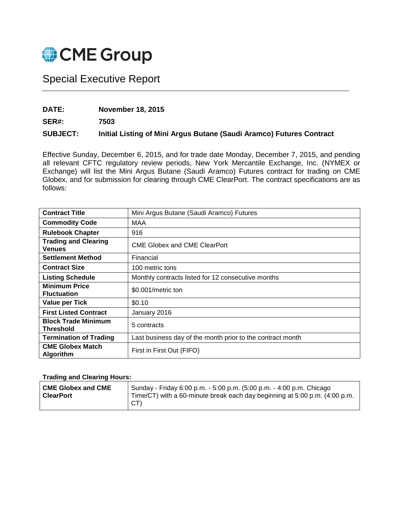

## Special Executive Report

## **DATE: November 18, 2015**

**SER#: 7503**

## **SUBJECT: Initial Listing of Mini Argus Butane (Saudi Aramco) Futures Contract**

Effective Sunday, December 6, 2015, and for trade date Monday, December 7, 2015, and pending all relevant CFTC regulatory review periods, New York Mercantile Exchange, Inc. (NYMEX or Exchange) will list the Mini Argus Butane (Saudi Aramco) Futures contract for trading on CME Globex, and for submission for clearing through CME ClearPort. The contract specifications are as follows:

| <b>Contract Title</b>                        | Mini Argus Butane (Saudi Aramco) Futures                   |  |
|----------------------------------------------|------------------------------------------------------------|--|
| <b>Commodity Code</b>                        | MAA                                                        |  |
| <b>Rulebook Chapter</b>                      | 916                                                        |  |
| <b>Trading and Clearing</b><br><b>Venues</b> | <b>CME Globex and CME ClearPort</b>                        |  |
| <b>Settlement Method</b>                     | Financial                                                  |  |
| <b>Contract Size</b>                         | 100 metric tons                                            |  |
| <b>Listing Schedule</b>                      | Monthly contracts listed for 12 consecutive months         |  |
| <b>Minimum Price</b><br><b>Fluctuation</b>   | \$0.001/metric ton                                         |  |
| <b>Value per Tick</b>                        | \$0.10                                                     |  |
| <b>First Listed Contract</b>                 | January 2016                                               |  |
| <b>Block Trade Minimum</b><br>Threshold      | 5 contracts                                                |  |
| <b>Termination of Trading</b>                | Last business day of the month prior to the contract month |  |
| <b>CME Globex Match</b><br>Algorithm         | First in First Out (FIFO)                                  |  |

## **Trading and Clearing Hours:**

| <b>CME Globex and CME</b> | Sunday - Friday 6:00 p.m. - 5:00 p.m. (5:00 p.m. - 4:00 p.m. Chicago       |
|---------------------------|----------------------------------------------------------------------------|
| ∣ ClearPort               | Time/CT) with a 60-minute break each day beginning at 5:00 p.m. (4:00 p.m. |
|                           | CT)                                                                        |